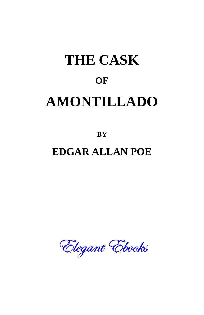## **THE CASK OF AMONTILLADO**

**BY**

## **EDGAR ALLAN POE**

Elegant Ebooks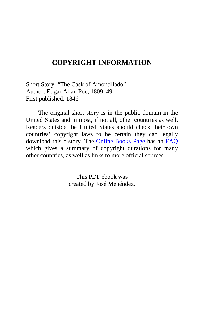## **COPYRIGHT INFORMATION**

Short Story: "The Cask of Amontillado" Author: Edgar Allan Poe, 1809–49 First published: 1846

The original short story is in the public domain in the United States and in most, if not all, other countries as well. Readers outside the United States should check their own countries' copyright laws to be certain they can legally download this e-story. The [Online Books Page](http://onlinebooks.library.upenn.edu/) has an [FAQ](http://onlinebooks.library.upenn.edu/okbooks.html) which gives a summary of copyright durations for many other countries, as well as links to more official sources.

> This PDF ebook was created by José Menéndez.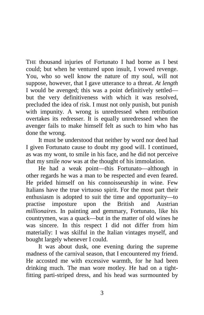THE thousand injuries of Fortunato I had borne as I best could; but when he ventured upon insult, I vowed revenge. You, who so well know the nature of my soul, will not suppose, however, that I gave utterance to a threat. *At length* I would be avenged; this was a point definitively settled but the very definitiveness with which it was resolved, precluded the idea of risk. I must not only punish, but punish with impunity. A wrong is unredressed when retribution overtakes its redresser. It is equally unredressed when the avenger fails to make himself felt as such to him who has done the wrong.

It must be understood that neither by word nor deed had I given Fortunato cause to doubt my good will. I continued, as was my wont, to smile in his face, and he did not perceive that my smile *now* was at the thought of his immolation.

He had a weak point—this Fortunato—although in other regards he was a man to be respected and even feared. He prided himself on his connoisseurship in wine. Few Italians have the true virtuoso spirit. For the most part their enthusiasm is adopted to suit the time and opportunity—to practise imposture upon the British and Austrian *millionaires*. In painting and gemmary, Fortunato, like his countrymen, was a quack—but in the matter of old wines he was sincere. In this respect I did not differ from him materially: I was skilful in the Italian vintages myself, and bought largely whenever I could.

It was about dusk, one evening during the supreme madness of the carnival season, that I encountered my friend. He accosted me with excessive warmth, for he had been drinking much. The man wore motley. He had on a tightfitting parti-striped dress, and his head was surmounted by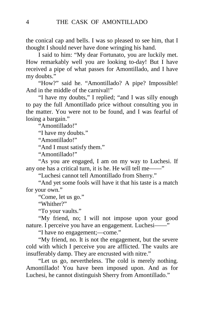the conical cap and bells. I was so pleased to see him, that I thought I should never have done wringing his hand.

I said to him: "My dear Fortunato, you are luckily met. How remarkably well you are looking to-day! But I have received a pipe of what passes for Amontillado, and I have my doubts."

"How?" said he. "Amontillado? A pipe? Impossible! And in the middle of the carnival!"

"I have my doubts," I replied; "and I was silly enough to pay the full Amontillado price without consulting you in the matter. You were not to be found, and I was fearful of losing a bargain."

"Amontillado!"

"I have my doubts."

"Amontillado!"

"And I must satisfy them."

"Amontillado!"

"As you are engaged, I am on my way to Luchesi. If any one has a critical turn, it is he. He will tell me——"

"Luchesi cannot tell Amontillado from Sherry."

"And yet some fools will have it that his taste is a match for your own."

"Come, let us go."

"Whither?"

"To your vaults."

"My friend, no; I will not impose upon your good nature. I perceive you have an engagement. Luchesi——"

"I have no engagement;—come."

"My friend, no. It is not the engagement, but the severe cold with which I perceive you are afflicted. The vaults are insufferably damp. They are encrusted with nitre."

"Let us go, nevertheless. The cold is merely nothing. Amontillado! You have been imposed upon. And as for Luchesi, he cannot distinguish Sherry from Amontillado."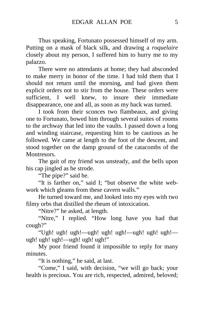Thus speaking, Fortunato possessed himself of my arm. Putting on a mask of black silk, and drawing a *roquelaire* closely about my person, I suffered him to hurry me to my palazzo.

There were no attendants at home; they had absconded to make merry in honor of the time. I had told them that I should not return until the morning, and had given them explicit orders not to stir from the house. These orders were sufficient, I well knew, to insure their immediate disappearance, one and all, as soon as my back was turned.

I took from their sconces two flambeaux, and giving one to Fortunato, bowed him through several suites of rooms to the archway that led into the vaults. I passed down a long and winding staircase, requesting him to be cautious as he followed. We came at length to the foot of the descent, and stood together on the damp ground of the catacombs of the Montresors.

The gait of my friend was unsteady, and the bells upon his cap jingled as he strode.

"The pipe?" said he.

"It is farther on," said I; "but observe the white webwork which gleams from these cavern walls."

He turned toward me, and looked into my eyes with two filmy orbs that distilled the rheum of intoxication.

"Nitre?" he asked, at length.

"Nitre," I replied. "How long have you had that cough?"

"Ugh! ugh! ugh!—ugh! ugh! ugh!—ugh! ugh! ugh! ugh! ugh!—ugh! ugh! ugh!"

My poor friend found it impossible to reply for many minutes.

"It is nothing," he said, at last.

"Come," I said, with decision, "we will go back; your health is precious. You are rich, respected, admired, beloved;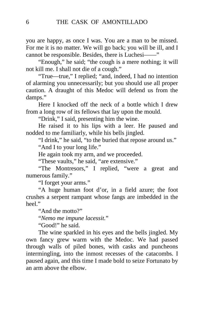you are happy, as once I was. You are a man to be missed. For me it is no matter. We will go back; you will be ill, and I cannot be responsible. Besides, there is Luchesi——"

"Enough," he said; "the cough is a mere nothing; it will not kill me. I shall not die of a cough."

"True—true," I replied; "and, indeed, I had no intention of alarming you unnecessarily; but you should use all proper caution. A draught of this Medoc will defend us from the damps."

Here I knocked off the neck of a bottle which I drew from a long row of its fellows that lay upon the mould.

"Drink," I said, presenting him the wine.

He raised it to his lips with a leer. He paused and nodded to me familiarly, while his bells jingled.

"I drink," he said, "to the buried that repose around us." "And I to your long life."

He again took my arm, and we proceeded.

"These vaults," he said, "are extensive."

"The Montresors," I replied, "were a great and numerous family."

"I forget your arms."

"A huge human foot d'or, in a field azure; the foot crushes a serpent rampant whose fangs are imbedded in the heel."

"And the motto?"

"*Nemo me impune lacessit.*"

"Good!" he said.

The wine sparkled in his eyes and the bells jingled. My own fancy grew warm with the Medoc. We had passed through walls of piled bones, with casks and puncheons intermingling, into the inmost recesses of the catacombs. I paused again, and this time I made bold to seize Fortunato by an arm above the elbow.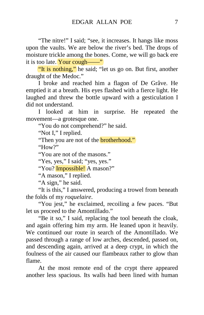"The nitre!" I said; "see, it increases. It hangs like moss upon the vaults. We are below the river's bed. The drops of moisture trickle among the bones. Come, we will go back ere it is too late. Your cough——"

"It is nothing," he said; "let us go on. But first, another draught of the Medoc."

I broke and reached him a flagon of De Grâve. He emptied it at a breath. His eyes flashed with a fierce light. He laughed and threw the bottle upward with a gesticulation I did not understand.

I looked at him in surprise. He repeated the movement—a grotesque one.

"You do not comprehend?" he said.

"Not I," I replied.

"Then you are not of the **brotherhood."** 

"How?"

"You are not of the masons."

"Yes, yes," I said; "yes, yes."

"You? Impossible! A mason?"

"A mason," I replied.

"A sign," he said.

"It is this," I answered, producing a trowel from beneath the folds of my *roquelaire*.

"You jest," he exclaimed, recoiling a few paces. "But let us proceed to the Amontillado."

"Be it so," I said, replacing the tool beneath the cloak, and again offering him my arm. He leaned upon it heavily. We continued our route in search of the Amontillado. We passed through a range of low arches, descended, passed on, and descending again, arrived at a deep crypt, in which the foulness of the air caused our flambeaux rather to glow than flame.

At the most remote end of the crypt there appeared another less spacious. Its walls had been lined with human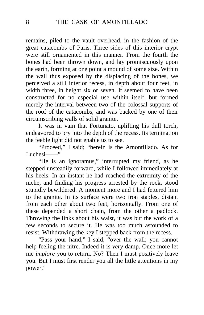remains, piled to the vault overhead, in the fashion of the great catacombs of Paris. Three sides of this interior crypt were still ornamented in this manner. From the fourth the bones had been thrown down, and lay promiscuously upon the earth, forming at one point a mound of some size. Within the wall thus exposed by the displacing of the bones, we perceived a still interior recess, in depth about four feet, in width three, in height six or seven. It seemed to have been constructed for no especial use within itself, but formed merely the interval between two of the colossal supports of the roof of the catacombs, and was backed by one of their circumscribing walls of solid granite.

It was in vain that Fortunato, uplifting his dull torch, endeavored to pry into the depth of the recess. Its termination the feeble light did not enable us to see.

"Proceed," I said; "herein is the Amontillado. As for Luchesi<sup>-1</sup>

"He is an ignoramus," interrupted my friend, as he stepped unsteadily forward, while I followed immediately at his heels. In an instant he had reached the extremity of the niche, and finding his progress arrested by the rock, stood stupidly bewildered. A moment more and I had fettered him to the granite. In its surface were two iron staples, distant from each other about two feet, horizontally. From one of these depended a short chain, from the other a padlock. Throwing the links about his waist, it was but the work of a few seconds to secure it. He was too much astounded to resist. Withdrawing the key I stepped back from the recess.

"Pass your hand," I said, "over the wall; you cannot help feeling the nitre. Indeed it is *very* damp. Once more let me *implore* you to return. No? Then I must positively leave you. But I must first render you all the little attentions in my power."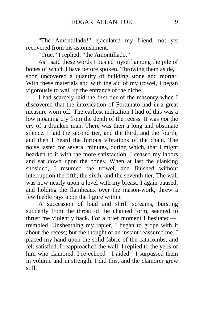"The Amontillado!" ejaculated my friend, not yet recovered from his astonishment.

"True," I replied; "the Amontillado."

As I said these words I busied myself among the pile of bones of which I have before spoken. Throwing them aside, I soon uncovered a quantity of building stone and mortar. With these materials and with the aid of my trowel, I began vigorously to wall up the entrance of the niche.

I had scarcely laid the first tier of the masonry when I discovered that the intoxication of Fortunato had in a great measure worn off. The earliest indication I had of this was a low moaning cry from the depth of the recess. It was *not* the cry of a drunken man. There was then a long and obstinate silence. I laid the second tier, and the third, and the fourth; and then I heard the furious vibrations of the chain. The noise lasted for several minutes, during which, that I might hearken to it with the more satisfaction, I ceased my labors and sat down upon the bones. When at last the clanking subsided, I resumed the trowel, and finished without interruption the fifth, the sixth, and the seventh tier. The wall was now nearly upon a level with my breast. I again paused, and holding the flambeaux over the mason-work, threw a few feeble rays upon the figure within.

A succession of loud and shrill screams, bursting suddenly from the throat of the chained form, seemed to thrust me violently back. For a brief moment I hesitated—I trembled. Unsheathing my rapier, I began to grope with it about the recess; but the thought of an instant reassured me. I placed my hand upon the solid fabric of the catacombs, and felt satisfied. I reapproached the wall. I replied to the yells of him who clamored. I re-echoed—I aided—I surpassed them in volume and in strength. I did this, and the clamorer grew still.